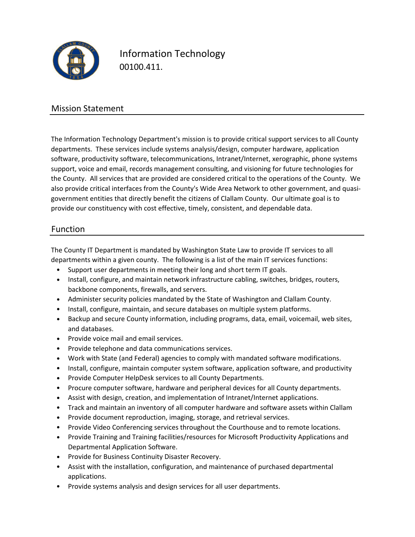

Information Technology 00100.411.

## Mission Statement

The Information Technology Department's mission is to provide critical support services to all County departments. These services include systems analysis/design, computer hardware, application software, productivity software, telecommunications, Intranet/Internet, xerographic, phone systems support, voice and email, records management consulting, and visioning for future technologies for the County. All services that are provided are considered critical to the operations of the County. We also provide critical interfaces from the County's Wide Area Network to other government, and quasigovernment entities that directly benefit the citizens of Clallam County. Our ultimate goal is to provide our constituency with cost effective, timely, consistent, and dependable data.

### Function

The County IT Department is mandated by Washington State Law to provide IT services to all departments within a given county. The following is a list of the main IT services functions:

- Support user departments in meeting their long and short term IT goals.
- Install, configure, and maintain network infrastructure cabling, switches, bridges, routers, backbone components, firewalls, and servers.
- Administer security policies mandated by the State of Washington and Clallam County.
- Install, configure, maintain, and secure databases on multiple system platforms.
- Backup and secure County information, including programs, data, email, voicemail, web sites, and databases.
- Provide voice mail and email services.
- Provide telephone and data communications services.
- Work with State (and Federal) agencies to comply with mandated software modifications.
- Install, configure, maintain computer system software, application software, and productivity
- Provide Computer HelpDesk services to all County Departments.
- Procure computer software, hardware and peripheral devices for all County departments.
- Assist with design, creation, and implementation of Intranet/Internet applications.
- Track and maintain an inventory of all computer hardware and software assets within Clallam
- Provide document reproduction, imaging, storage, and retrieval services.
- Provide Video Conferencing services throughout the Courthouse and to remote locations.
- Provide Training and Training facilities/resources for Microsoft Productivity Applications and Departmental Application Software.
- Provide for Business Continuity Disaster Recovery.
- Assist with the installation, configuration, and maintenance of purchased departmental applications.
- Provide systems analysis and design services for all user departments.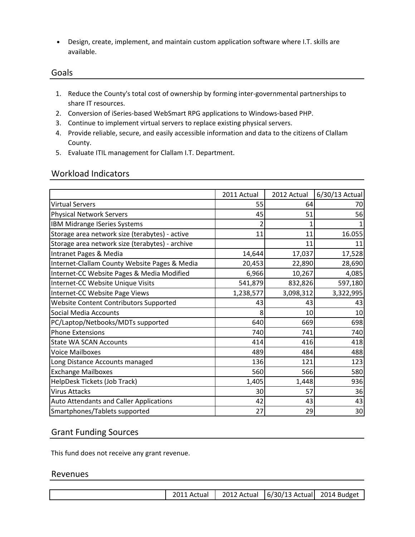• Design, create, implement, and maintain custom application software where I.T. skills are available.

#### Goals

- 1. Reduce the County's total cost of ownership by forming inter-governmental partnerships to share IT resources.
- 2. Conversion of iSeries-based WebSmart RPG applications to Windows-based PHP.
- 3. Continue to implement virtual servers to replace existing physical servers.
- 4. Provide reliable, secure, and easily accessible information and data to the citizens of Clallam County.
- 5. Evaluate ITIL management for Clallam I.T. Department.

#### Workload Indicators

|                                                 | 2011 Actual | 2012 Actual | 6/30/13 Actual  |
|-------------------------------------------------|-------------|-------------|-----------------|
| <b>Virtual Servers</b>                          | 55          | 64          | 70              |
| <b>Physical Network Servers</b>                 | 45          | 51          | 56              |
| IBM Midrange ISeries Systems                    | 2           |             |                 |
| Storage area network size (terabytes) - active  | 11          | 11          | 16.055          |
| Storage area network size (terabytes) - archive |             | 11          | 11              |
| Intranet Pages & Media                          | 14,644      | 17,037      | 17,528          |
| Internet-Clallam County Website Pages & Media   | 20,453      | 22,890      | 28,690          |
| Internet-CC Website Pages & Media Modified      | 6,966       | 10,267      | 4,085           |
| Internet-CC Website Unique Visits               | 541,879     | 832,826     | 597,180         |
| Internet-CC Website Page Views                  | 1,238,577   | 3,098,312   | 3,322,995       |
| Website Content Contributors Supported          | 43          | 43          | 43              |
| <b>Social Media Accounts</b>                    | 8           | 10          | 10              |
| PC/Laptop/Netbooks/MDTs supported               | 640         | 669         | 698             |
| <b>Phone Extensions</b>                         | 740         | 741         | 740             |
| <b>State WA SCAN Accounts</b>                   | 414         | 416         | 418             |
| <b>Voice Mailboxes</b>                          | 489         | 484         | 488             |
| Long Distance Accounts managed                  | 136         | 121         | 123             |
| <b>Exchange Mailboxes</b>                       | 560         | 566         | 580             |
| HelpDesk Tickets (Job Track)                    | 1,405       | 1,448       | 936             |
| <b>Virus Attacks</b>                            | 30          | 57          | 36              |
| Auto Attendants and Caller Applications         | 42          | 43          | 43              |
| Smartphones/Tablets supported                   | 27          | 29          | 30 <sup>1</sup> |

#### Grant Funding Sources

This fund does not receive any grant revenue.

#### Revenues

| 2011<br>. Actual | 2012 Actual | $\left  \frac{6}{30} \right $ Actual 2014 Budget |  |
|------------------|-------------|--------------------------------------------------|--|
|------------------|-------------|--------------------------------------------------|--|